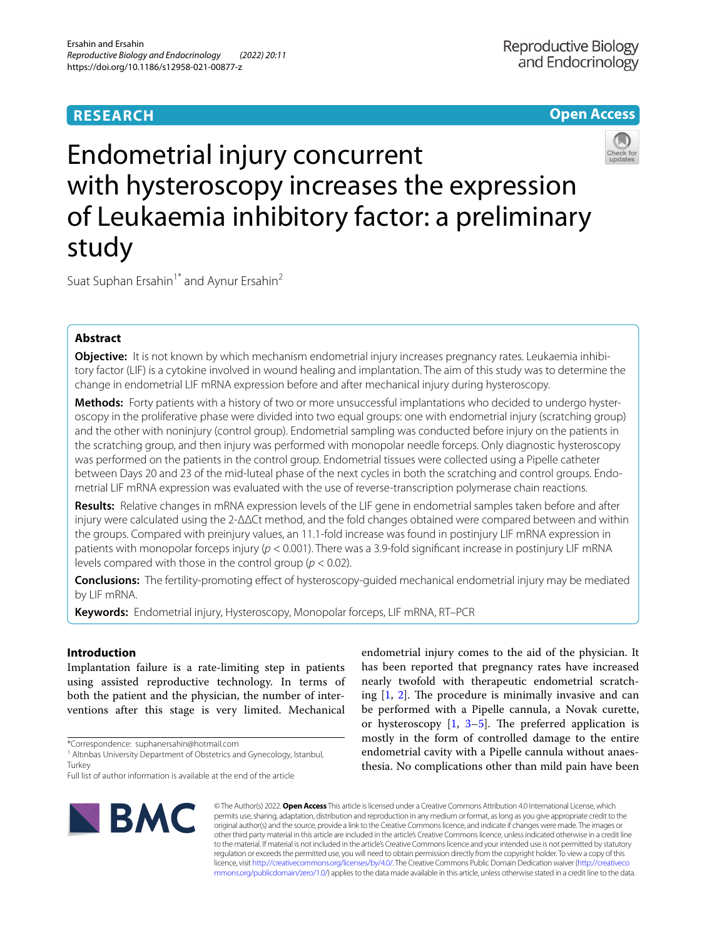# **RESEARCH**

# **Open Access**



# Endometrial injury concurrent with hysteroscopy increases the expression of Leukaemia inhibitory factor: a preliminary study

Suat Suphan Ersahin<sup>1\*</sup> and Aynur Ersahin<sup>2</sup>

# **Abstract**

**Objective:** It is not known by which mechanism endometrial injury increases pregnancy rates. Leukaemia inhibitory factor (LIF) is a cytokine involved in wound healing and implantation. The aim of this study was to determine the change in endometrial LIF mRNA expression before and after mechanical injury during hysteroscopy.

**Methods:** Forty patients with a history of two or more unsuccessful implantations who decided to undergo hysteroscopy in the proliferative phase were divided into two equal groups: one with endometrial injury (scratching group) and the other with noninjury (control group). Endometrial sampling was conducted before injury on the patients in the scratching group, and then injury was performed with monopolar needle forceps. Only diagnostic hysteroscopy was performed on the patients in the control group. Endometrial tissues were collected using a Pipelle catheter between Days 20 and 23 of the mid-luteal phase of the next cycles in both the scratching and control groups. Endometrial LIF mRNA expression was evaluated with the use of reverse-transcription polymerase chain reactions.

**Results:** Relative changes in mRNA expression levels of the LIF gene in endometrial samples taken before and after injury were calculated using the 2-ΔΔCt method, and the fold changes obtained were compared between and within the groups. Compared with preinjury values, an 11.1-fold increase was found in postinjury LIF mRNA expression in patients with monopolar forceps injury (*p* < 0.001). There was a 3.9-fold signifcant increase in postinjury LIF mRNA levels compared with those in the control group (*p* < 0.02).

**Conclusions:** The fertility-promoting efect of hysteroscopy-guided mechanical endometrial injury may be mediated by LIF mRNA.

**Keywords:** Endometrial injury, Hysteroscopy, Monopolar forceps, LIF mRNA, RT–PCR

## **Introduction**

Implantation failure is a rate-limiting step in patients using assisted reproductive technology. In terms of both the patient and the physician, the number of interventions after this stage is very limited. Mechanical

\*Correspondence: suphanersahin@hotmail.com

Full list of author information is available at the end of the article



endometrial injury comes to the aid of the physician. It has been reported that pregnancy rates have increased nearly twofold with therapeutic endometrial scratching  $[1, 2]$  $[1, 2]$  $[1, 2]$  $[1, 2]$ . The procedure is minimally invasive and can be performed with a Pipelle cannula, a Novak curette, or hysteroscopy  $\begin{bmatrix} 1, 3-5 \end{bmatrix}$  $\begin{bmatrix} 1, 3-5 \end{bmatrix}$  $\begin{bmatrix} 1, 3-5 \end{bmatrix}$ . The preferred application is mostly in the form of controlled damage to the entire endometrial cavity with a Pipelle cannula without anaesthesia. No complications other than mild pain have been

© The Author(s) 2022. **Open Access** This article is licensed under a Creative Commons Attribution 4.0 International License, which permits use, sharing, adaptation, distribution and reproduction in any medium or format, as long as you give appropriate credit to the original author(s) and the source, provide a link to the Creative Commons licence, and indicate if changes were made. The images or other third party material in this article are included in the article's Creative Commons licence, unless indicated otherwise in a credit line to the material. If material is not included in the article's Creative Commons licence and your intended use is not permitted by statutory regulation or exceeds the permitted use, you will need to obtain permission directly from the copyright holder. To view a copy of this licence, visit [http://creativecommons.org/licenses/by/4.0/.](http://creativecommons.org/licenses/by/4.0/) The Creative Commons Public Domain Dedication waiver ([http://creativeco](http://creativecommons.org/publicdomain/zero/1.0/) [mmons.org/publicdomain/zero/1.0/](http://creativecommons.org/publicdomain/zero/1.0/)) applies to the data made available in this article, unless otherwise stated in a credit line to the data.

<sup>&</sup>lt;sup>1</sup> Altinbas University Department of Obstetrics and Gynecology, Istanbul, **Turkey**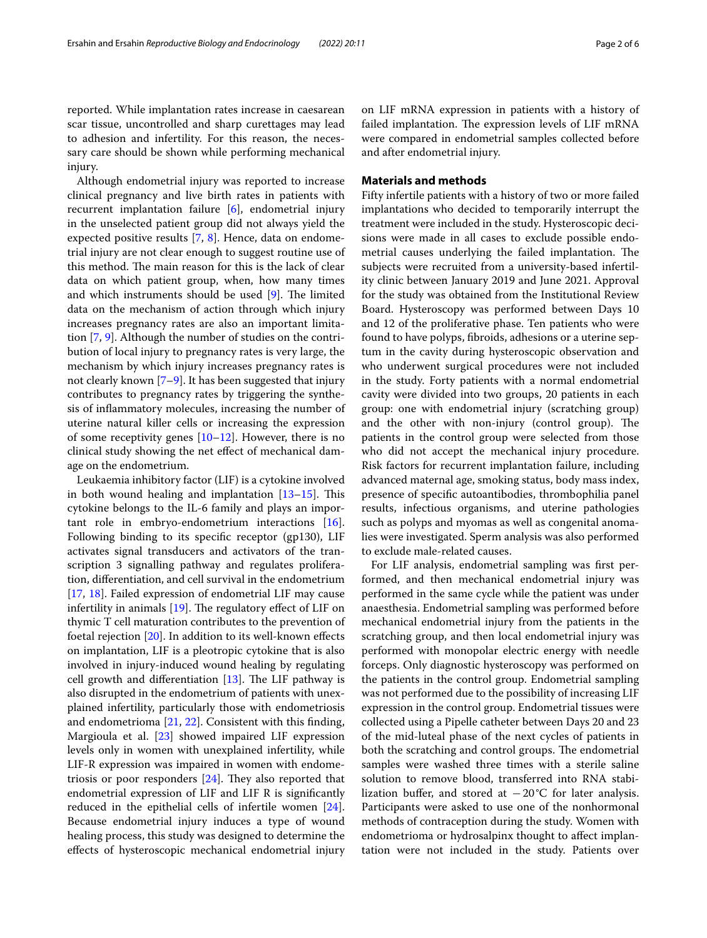reported. While implantation rates increase in caesarean scar tissue, uncontrolled and sharp curettages may lead to adhesion and infertility. For this reason, the necessary care should be shown while performing mechanical injury.

Although endometrial injury was reported to increase clinical pregnancy and live birth rates in patients with recurrent implantation failure [[6](#page-5-4)], endometrial injury in the unselected patient group did not always yield the expected positive results [[7,](#page-5-5) [8\]](#page-5-6). Hence, data on endometrial injury are not clear enough to suggest routine use of this method. The main reason for this is the lack of clear data on which patient group, when, how many times and which instruments should be used  $[9]$  $[9]$ . The limited data on the mechanism of action through which injury increases pregnancy rates are also an important limitation [[7,](#page-5-5) [9](#page-5-7)]. Although the number of studies on the contribution of local injury to pregnancy rates is very large, the mechanism by which injury increases pregnancy rates is not clearly known [\[7](#page-5-5)[–9](#page-5-7)]. It has been suggested that injury contributes to pregnancy rates by triggering the synthesis of infammatory molecules, increasing the number of uterine natural killer cells or increasing the expression of some receptivity genes  $[10-12]$  $[10-12]$ . However, there is no clinical study showing the net efect of mechanical damage on the endometrium.

Leukaemia inhibitory factor (LIF) is a cytokine involved in both wound healing and implantation  $[13-15]$  $[13-15]$ . This cytokine belongs to the IL-6 family and plays an important role in embryo-endometrium interactions [\[16](#page-5-12)]. Following binding to its specifc receptor (gp130), LIF activates signal transducers and activators of the transcription 3 signalling pathway and regulates proliferation, diferentiation, and cell survival in the endometrium [[17,](#page-5-13) [18\]](#page-5-14). Failed expression of endometrial LIF may cause infertility in animals  $[19]$  $[19]$ . The regulatory effect of LIF on thymic T cell maturation contributes to the prevention of foetal rejection  $[20]$  $[20]$ . In addition to its well-known effects on implantation, LIF is a pleotropic cytokine that is also involved in injury-induced wound healing by regulating cell growth and differentiation  $[13]$  $[13]$ . The LIF pathway is also disrupted in the endometrium of patients with unexplained infertility, particularly those with endometriosis and endometrioma [\[21,](#page-5-17) [22\]](#page-5-18). Consistent with this fnding, Margioula et al. [\[23](#page-5-19)] showed impaired LIF expression levels only in women with unexplained infertility, while LIF-R expression was impaired in women with endometriosis or poor responders  $[24]$ . They also reported that endometrial expression of LIF and LIF R is signifcantly reduced in the epithelial cells of infertile women [\[24](#page-5-20)]. Because endometrial injury induces a type of wound healing process, this study was designed to determine the efects of hysteroscopic mechanical endometrial injury on LIF mRNA expression in patients with a history of failed implantation. The expression levels of LIF mRNA were compared in endometrial samples collected before and after endometrial injury.

## **Materials and methods**

Fifty infertile patients with a history of two or more failed implantations who decided to temporarily interrupt the treatment were included in the study. Hysteroscopic decisions were made in all cases to exclude possible endometrial causes underlying the failed implantation. The subjects were recruited from a university-based infertility clinic between January 2019 and June 2021. Approval for the study was obtained from the Institutional Review Board. Hysteroscopy was performed between Days 10 and 12 of the proliferative phase. Ten patients who were found to have polyps, fbroids, adhesions or a uterine septum in the cavity during hysteroscopic observation and who underwent surgical procedures were not included in the study. Forty patients with a normal endometrial cavity were divided into two groups, 20 patients in each group: one with endometrial injury (scratching group) and the other with non-injury (control group). The patients in the control group were selected from those who did not accept the mechanical injury procedure. Risk factors for recurrent implantation failure, including advanced maternal age, smoking status, body mass index, presence of specifc autoantibodies, thrombophilia panel results, infectious organisms, and uterine pathologies such as polyps and myomas as well as congenital anomalies were investigated. Sperm analysis was also performed to exclude male-related causes.

For LIF analysis, endometrial sampling was frst performed, and then mechanical endometrial injury was performed in the same cycle while the patient was under anaesthesia. Endometrial sampling was performed before mechanical endometrial injury from the patients in the scratching group, and then local endometrial injury was performed with monopolar electric energy with needle forceps. Only diagnostic hysteroscopy was performed on the patients in the control group. Endometrial sampling was not performed due to the possibility of increasing LIF expression in the control group. Endometrial tissues were collected using a Pipelle catheter between Days 20 and 23 of the mid-luteal phase of the next cycles of patients in both the scratching and control groups. The endometrial samples were washed three times with a sterile saline solution to remove blood, transferred into RNA stabilization buffer, and stored at  $-20$ °C for later analysis. Participants were asked to use one of the nonhormonal methods of contraception during the study. Women with endometrioma or hydrosalpinx thought to afect implantation were not included in the study. Patients over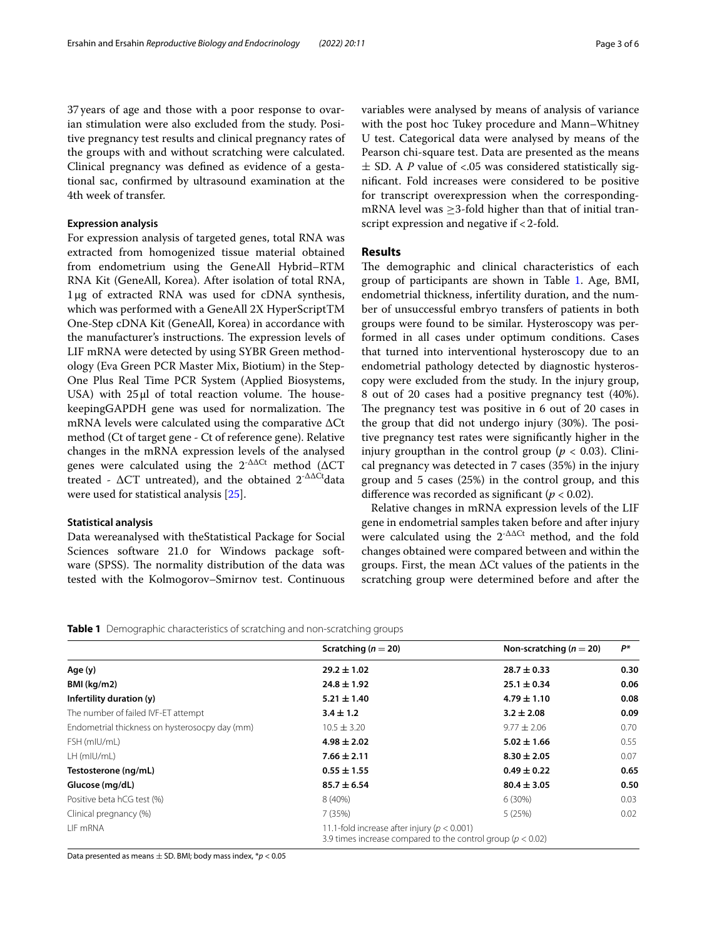37years of age and those with a poor response to ovarian stimulation were also excluded from the study. Positive pregnancy test results and clinical pregnancy rates of the groups with and without scratching were calculated. Clinical pregnancy was defned as evidence of a gestational sac, confrmed by ultrasound examination at the 4th week of transfer.

#### **Expression analysis**

For expression analysis of targeted genes, total RNA was extracted from homogenized tissue material obtained from endometrium using the GeneAll Hybrid–RTM RNA Kit (GeneAll, Korea). After isolation of total RNA, 1μg of extracted RNA was used for cDNA synthesis, which was performed with a GeneAll 2X HyperScriptTM One-Step cDNA Kit (GeneAll, Korea) in accordance with the manufacturer's instructions. The expression levels of LIF mRNA were detected by using SYBR Green methodology (Eva Green PCR Master Mix, Biotium) in the Step-One Plus Real Time PCR System (Applied Biosystems, USA) with  $25 \mu l$  of total reaction volume. The housekeepingGAPDH gene was used for normalization. The mRNA levels were calculated using the comparative ΔCt method (Ct of target gene - Ct of reference gene). Relative changes in the mRNA expression levels of the analysed genes were calculated using the  $2^{-\Delta\Delta Ct}$  method ( $\Delta CT$ treated -  $\Delta CT$  untreated), and the obtained  $2^{-\Delta\Delta Ct}$ data were used for statistical analysis [\[25](#page-5-21)].

## **Statistical analysis**

Data wereanalysed with theStatistical Package for Social Sciences software 21.0 for Windows package software (SPSS). The normality distribution of the data was tested with the Kolmogorov–Smirnov test. Continuous variables were analysed by means of analysis of variance with the post hoc Tukey procedure and Mann–Whitney U test. Categorical data were analysed by means of the Pearson chi-square test. Data are presented as the means  $\pm$  SD. A *P* value of <.05 was considered statistically signifcant. Fold increases were considered to be positive for transcript overexpression when the correspondingmRNA level was  $\geq$ 3-fold higher than that of initial transcript expression and negative if <2-fold.

## **Results**

The demographic and clinical characteristics of each group of participants are shown in Table [1](#page-2-0). Age, BMI, endometrial thickness, infertility duration, and the number of unsuccessful embryo transfers of patients in both groups were found to be similar. Hysteroscopy was performed in all cases under optimum conditions. Cases that turned into interventional hysteroscopy due to an endometrial pathology detected by diagnostic hysteroscopy were excluded from the study. In the injury group, 8 out of 20 cases had a positive pregnancy test (40%). The pregnancy test was positive in 6 out of 20 cases in the group that did not undergo injury  $(30\%)$ . The positive pregnancy test rates were signifcantly higher in the injury groupthan in the control group ( $p < 0.03$ ). Clinical pregnancy was detected in 7 cases (35%) in the injury group and 5 cases (25%) in the control group, and this diference was recorded as signifcant (*p* < 0.02).

Relative changes in mRNA expression levels of the LIF gene in endometrial samples taken before and after injury were calculated using the  $2^{-\Delta\Delta Ct}$  method, and the fold changes obtained were compared between and within the groups. First, the mean  $\Delta$ Ct values of the patients in the scratching group were determined before and after the

<span id="page-2-0"></span>**Table 1** Demographic characteristics of scratching and non-scratching groups

|                                                | Scratching ( $n = 20$ )                                                                                            | Non-scratching ( $n = 20$ ) | P*   |
|------------------------------------------------|--------------------------------------------------------------------------------------------------------------------|-----------------------------|------|
| Age (y)                                        | $29.2 \pm 1.02$                                                                                                    | $28.7 \pm 0.33$             | 0.30 |
| BMI (kg/m2)                                    | $24.8 \pm 1.92$                                                                                                    | $25.1 \pm 0.34$             | 0.06 |
| Infertility duration (y)                       | $5.21 \pm 1.40$                                                                                                    | $4.79 \pm 1.10$             | 0.08 |
| The number of failed IVF-ET attempt            | $3.4 \pm 1.2$                                                                                                      | $3.2 \pm 2.08$              | 0.09 |
| Endometrial thickness on hysterosocpy day (mm) | $10.5 \pm 3.20$                                                                                                    | $9.77 \pm 2.06$             | 0.70 |
| FSH (mIU/mL)                                   | $4.98 \pm 2.02$                                                                                                    | $5.02 \pm 1.66$             | 0.55 |
| $LH$ (mIU/mL)                                  | $7.66 \pm 2.11$                                                                                                    | $8.30 \pm 2.05$             | 0.07 |
| Testosterone (ng/mL)                           | $0.55 \pm 1.55$                                                                                                    | $0.49 \pm 0.22$             | 0.65 |
| Glucose (mg/dL)                                | $85.7 \pm 6.54$                                                                                                    | $80.4 \pm 3.05$             | 0.50 |
| Positive beta hCG test (%)                     | 8 (40%)                                                                                                            | 6(30%)                      | 0.03 |
| Clinical pregnancy (%)                         | 7 (35%)                                                                                                            | 5(25%)                      | 0.02 |
| LIF mRNA                                       | 11.1-fold increase after injury ( $p < 0.001$ )<br>3.9 times increase compared to the control group ( $p < 0.02$ ) |                             |      |

Data presented as means ± SD. BMI; body mass index, \**p* < 0.05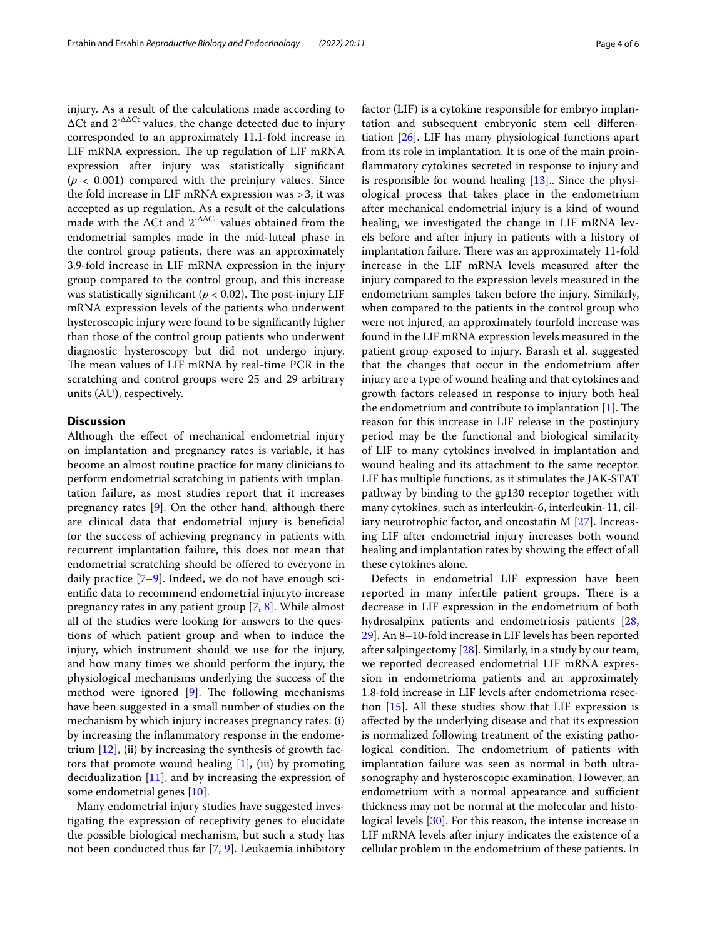injury. As a result of the calculations made according to  $\Delta$ Ct and  $2^{-\Delta\Delta$ Ct values, the change detected due to injury corresponded to an approximately 11.1-fold increase in LIF mRNA expression. The up regulation of LIF mRNA expression after injury was statistically signifcant  $(p < 0.001)$  compared with the preinjury values. Since the fold increase in LIF mRNA expression was >3, it was accepted as up regulation. As a result of the calculations made with the  $\Delta$ Ct and  $2^{-\Delta\Delta$ Ct values obtained from the endometrial samples made in the mid-luteal phase in the control group patients, there was an approximately 3.9-fold increase in LIF mRNA expression in the injury group compared to the control group, and this increase was statistically significant ( $p < 0.02$ ). The post-injury LIF mRNA expression levels of the patients who underwent hysteroscopic injury were found to be signifcantly higher than those of the control group patients who underwent diagnostic hysteroscopy but did not undergo injury. The mean values of LIF mRNA by real-time PCR in the scratching and control groups were 25 and 29 arbitrary units (AU), respectively.

## **Discussion**

Although the efect of mechanical endometrial injury on implantation and pregnancy rates is variable, it has become an almost routine practice for many clinicians to perform endometrial scratching in patients with implantation failure, as most studies report that it increases pregnancy rates [[9\]](#page-5-7). On the other hand, although there are clinical data that endometrial injury is benefcial for the success of achieving pregnancy in patients with recurrent implantation failure, this does not mean that endometrial scratching should be offered to everyone in daily practice [\[7–](#page-5-5)[9\]](#page-5-7). Indeed, we do not have enough scientifc data to recommend endometrial injuryto increase pregnancy rates in any patient group [[7,](#page-5-5) [8](#page-5-6)]. While almost all of the studies were looking for answers to the questions of which patient group and when to induce the injury, which instrument should we use for the injury, and how many times we should perform the injury, the physiological mechanisms underlying the success of the method were ignored  $[9]$  $[9]$ . The following mechanisms have been suggested in a small number of studies on the mechanism by which injury increases pregnancy rates: (i) by increasing the infammatory response in the endometrium  $[12]$ , (ii) by increasing the synthesis of growth factors that promote wound healing [\[1](#page-5-0)], (iii) by promoting decidualization  $[11]$  $[11]$ , and by increasing the expression of some endometrial genes [\[10](#page-5-8)].

Many endometrial injury studies have suggested investigating the expression of receptivity genes to elucidate the possible biological mechanism, but such a study has not been conducted thus far [\[7](#page-5-5), [9](#page-5-7)]. Leukaemia inhibitory factor (LIF) is a cytokine responsible for embryo implantation and subsequent embryonic stem cell diferentiation [\[26](#page-5-23)]. LIF has many physiological functions apart from its role in implantation. It is one of the main proinfammatory cytokines secreted in response to injury and is responsible for wound healing  $[13]$  $[13]$  $[13]$ . Since the physiological process that takes place in the endometrium after mechanical endometrial injury is a kind of wound healing, we investigated the change in LIF mRNA levels before and after injury in patients with a history of implantation failure. There was an approximately 11-fold increase in the LIF mRNA levels measured after the injury compared to the expression levels measured in the endometrium samples taken before the injury. Similarly, when compared to the patients in the control group who were not injured, an approximately fourfold increase was found in the LIF mRNA expression levels measured in the patient group exposed to injury. Barash et al. suggested that the changes that occur in the endometrium after injury are a type of wound healing and that cytokines and growth factors released in response to injury both heal the endometrium and contribute to implantation  $[1]$  $[1]$ . The reason for this increase in LIF release in the postinjury period may be the functional and biological similarity of LIF to many cytokines involved in implantation and wound healing and its attachment to the same receptor. LIF has multiple functions, as it stimulates the JAK-STAT pathway by binding to the gp130 receptor together with many cytokines, such as interleukin-6, interleukin-11, ciliary neurotrophic factor, and oncostatin M [[27\]](#page-5-24). Increasing LIF after endometrial injury increases both wound healing and implantation rates by showing the effect of all these cytokines alone.

Defects in endometrial LIF expression have been reported in many infertile patient groups. There is a decrease in LIF expression in the endometrium of both hydrosalpinx patients and endometriosis patients [[28](#page-5-25), [29\]](#page-5-26). An 8–10-fold increase in LIF levels has been reported after salpingectomy [[28\]](#page-5-25). Similarly, in a study by our team, we reported decreased endometrial LIF mRNA expression in endometrioma patients and an approximately 1.8-fold increase in LIF levels after endometrioma resection [\[15](#page-5-11)]. All these studies show that LIF expression is afected by the underlying disease and that its expression is normalized following treatment of the existing pathological condition. The endometrium of patients with implantation failure was seen as normal in both ultrasonography and hysteroscopic examination. However, an endometrium with a normal appearance and sufficient thickness may not be normal at the molecular and histological levels [\[30](#page-5-27)]. For this reason, the intense increase in LIF mRNA levels after injury indicates the existence of a cellular problem in the endometrium of these patients. In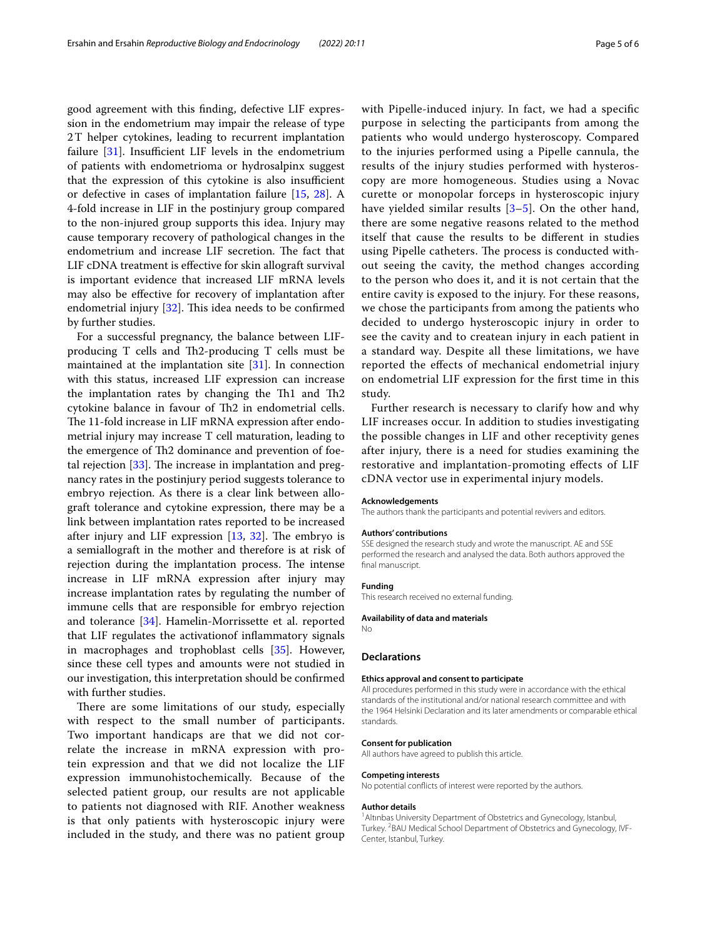good agreement with this fnding, defective LIF expression in the endometrium may impair the release of type 2T helper cytokines, leading to recurrent implantation failure  $[31]$ . Insufficient LIF levels in the endometrium of patients with endometrioma or hydrosalpinx suggest that the expression of this cytokine is also insufficient or defective in cases of implantation failure [[15](#page-5-11), [28](#page-5-25)]. A 4-fold increase in LIF in the postinjury group compared to the non-injured group supports this idea. Injury may cause temporary recovery of pathological changes in the endometrium and increase LIF secretion. The fact that LIF cDNA treatment is efective for skin allograft survival is important evidence that increased LIF mRNA levels may also be efective for recovery of implantation after endometrial injury  $[32]$  $[32]$ . This idea needs to be confirmed by further studies.

For a successful pregnancy, the balance between LIFproducing T cells and Th2-producing T cells must be maintained at the implantation site [[31\]](#page-5-28). In connection with this status, increased LIF expression can increase the implantation rates by changing the Th1 and Th2 cytokine balance in favour of Th2 in endometrial cells. The 11-fold increase in LIF mRNA expression after endometrial injury may increase T cell maturation, leading to the emergence of Th2 dominance and prevention of foetal rejection  $[33]$ . The increase in implantation and pregnancy rates in the postinjury period suggests tolerance to embryo rejection. As there is a clear link between allograft tolerance and cytokine expression, there may be a link between implantation rates reported to be increased after injury and LIF expression  $[13, 32]$  $[13, 32]$  $[13, 32]$  $[13, 32]$  $[13, 32]$ . The embryo is a semiallograft in the mother and therefore is at risk of rejection during the implantation process. The intense increase in LIF mRNA expression after injury may increase implantation rates by regulating the number of immune cells that are responsible for embryo rejection and tolerance [[34\]](#page-5-31). Hamelin-Morrissette et al. reported that LIF regulates the activationof infammatory signals in macrophages and trophoblast cells [\[35\]](#page-5-32). However, since these cell types and amounts were not studied in our investigation, this interpretation should be confrmed with further studies.

There are some limitations of our study, especially with respect to the small number of participants. Two important handicaps are that we did not correlate the increase in mRNA expression with protein expression and that we did not localize the LIF expression immunohistochemically. Because of the selected patient group, our results are not applicable to patients not diagnosed with RIF. Another weakness is that only patients with hysteroscopic injury were included in the study, and there was no patient group with Pipelle-induced injury. In fact, we had a specifc purpose in selecting the participants from among the patients who would undergo hysteroscopy. Compared to the injuries performed using a Pipelle cannula, the results of the injury studies performed with hysteroscopy are more homogeneous. Studies using a Novac curette or monopolar forceps in hysteroscopic injury have yielded similar results [\[3](#page-5-2)[–5](#page-5-3)]. On the other hand, there are some negative reasons related to the method itself that cause the results to be diferent in studies using Pipelle catheters. The process is conducted without seeing the cavity, the method changes according to the person who does it, and it is not certain that the entire cavity is exposed to the injury. For these reasons, we chose the participants from among the patients who decided to undergo hysteroscopic injury in order to see the cavity and to createan injury in each patient in a standard way. Despite all these limitations, we have reported the efects of mechanical endometrial injury on endometrial LIF expression for the frst time in this study.

Further research is necessary to clarify how and why LIF increases occur. In addition to studies investigating the possible changes in LIF and other receptivity genes after injury, there is a need for studies examining the restorative and implantation-promoting efects of LIF cDNA vector use in experimental injury models.

#### **Acknowledgements**

The authors thank the participants and potential revivers and editors.

#### **Authors' contributions**

SSE designed the research study and wrote the manuscript. AE and SSE performed the research and analysed the data. Both authors approved the final manuscript.

#### **Funding**

This research received no external funding.

#### **Availability of data and materials**

No

#### **Declarations**

#### **Ethics approval and consent to participate**

All procedures performed in this study were in accordance with the ethical standards of the institutional and/or national research committee and with the 1964 Helsinki Declaration and its later amendments or comparable ethical standards.

#### **Consent for publication**

All authors have agreed to publish this article.

#### **Competing interests**

No potential conficts of interest were reported by the authors.

#### **Author details**

<sup>1</sup> Altinbas University Department of Obstetrics and Gynecology, Istanbul, Turkey. <sup>2</sup>BAU Medical School Department of Obstetrics and Gynecology, IVF-Center, Istanbul, Turkey.